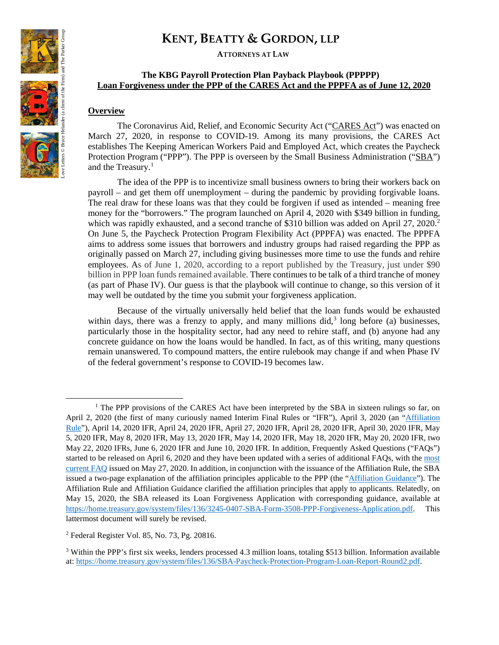**ATTORNEYS AT LAW**

### **The KBG Payroll Protection Plan Payback Playbook (PPPPP) Loan Forgiveness under the PPP of the CARES Act and the PPPFA as of June 12, 2020**

#### **Overview**

The Coronavirus Aid, Relief, and Economic Security Act ("CARES Act") was enacted on March 27, 2020, in response to COVID-19. Among its many provisions, the CARES Act establishes The Keeping American Workers Paid and Employed Act, which creates the Paycheck Protection Program ("PPP"). The PPP is overseen by the Small Business Administration ("SBA") and the Treasury.<sup>[1](#page-0-0)</sup>

The idea of the PPP is to incentivize small business owners to bring their workers back on payroll – and get them off unemployment – during the pandemic by providing forgivable loans. The real draw for these loans was that they could be forgiven if used as intended – meaning free money for the "borrowers." The program launched on April 4, 2020 with \$349 billion in funding, which was rapidly exhausted, and a second tranche of \$310 billion was added on April [2](#page-0-1)7,  $2020$ <sup>2</sup> On June 5, the Paycheck Protection Program Flexibility Act (PPPFA) was enacted. The PPPFA aims to address some issues that borrowers and industry groups had raised regarding the PPP as originally passed on March 27, including giving businesses more time to use the funds and rehire employees. As of June 1, 2020, according to a report published by the Treasury, just under \$90 billion in PPP loan funds remained available. There continues to be talk of a third tranche of money (as part of Phase IV). Our guess is that the playbook will continue to change, so this version of it may well be outdated by the time you submit your forgiveness application.

Because of the virtually universally held belief that the loan funds would be exhausted within days, there was a frenzy to apply, and many millions did,<sup>[3](#page-0-2)</sup> long before (a) businesses, particularly those in the hospitality sector, had any need to rehire staff, and (b) anyone had any concrete guidance on how the loans would be handled. In fact, as of this writing, many questions remain unanswered. To compound matters, the entire rulebook may change if and when Phase IV of the federal government's response to COVID-19 becomes law.



 $\overline{a}$ 

<span id="page-0-0"></span><sup>&</sup>lt;sup>1</sup> The PPP provisions of the CARES Act have been interpreted by the SBA in sixteen rulings so far, on April 2, 2020 (the first of many curiously named Interim Final Rules or "IFR"), April 3, 2020 (an "Affiliation [Rule"](https://home.treasury.gov/system/files/136/SBA%20IFR%202.pdf)), April 14, 2020 IFR, April 24, 2020 IFR, April 27, 2020 IFR, April 28, 2020 IFR, April 30, 2020 IFR, May 5, 2020 IFR, May 8, 2020 IFR, May 13, 2020 IFR, May 14, 2020 IFR, May 18, 2020 IFR, May 20, 2020 IFR, two May 22, 2020 IFRs, June 6, 2020 IFR and June 10, 2020 IFR. In addition, Frequently Asked Questions ("FAQs") started to be released on April 6, 2020 and they have been updated with a series of additional FAQs, with the [most](https://home.treasury.gov/system/files/136/Paycheck-Protection-Program-Frequently-Asked-Questions.pdf)  [current FAQ](https://home.treasury.gov/system/files/136/Paycheck-Protection-Program-Frequently-Asked-Questions.pdf) issued on May 27, 2020. In addition, in conjunction with the issuance of the Affiliation Rule, the SBA issued a two-page explanation of the affiliation principles applicable to the PPP (the ["Affiliation Guidance"](https://home.treasury.gov/system/files/136/Affiliation%20rules%20overview%20%28for%20public%29.pdf)). The Affiliation Rule and Affiliation Guidance clarified the affiliation principles that apply to applicants. Relatedly, on May 15, 2020, the SBA released its Loan Forgiveness Application with corresponding guidance, available at [https://home.treasury.gov/system/files/136/3245-0407-SBA-Form-3508-PPP-Forgiveness-Application.pdf.](https://home.treasury.gov/system/files/136/3245-0407-SBA-Form-3508-PPP-Forgiveness-Application.pdf) This lattermost document will surely be revised.

<span id="page-0-1"></span><sup>2</sup> Federal Register Vol. 85, No. 73, Pg. 20816.

<span id="page-0-2"></span><sup>3</sup> Within the PPP's first six weeks, lenders processed 4.3 million loans, totaling \$513 billion. Information available at: [https://home.treasury.gov/system/files/136/SBA-Paycheck-Protection-Program-Loan-Report-Round2.pdf.](https://home.treasury.gov/system/files/136/SBA-Paycheck-Protection-Program-Loan-Report-Round2.pdf)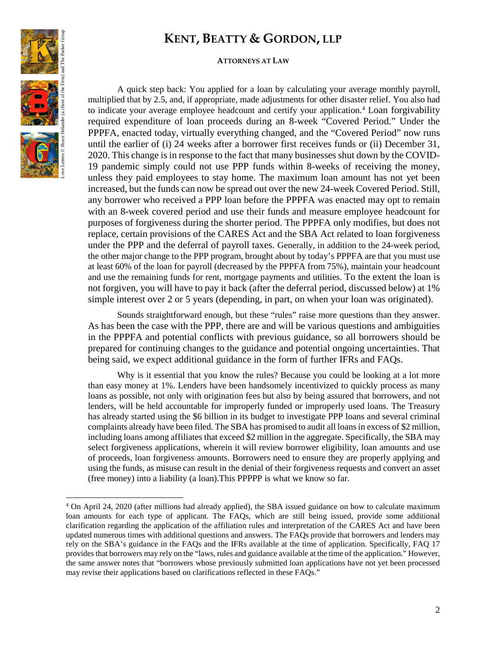#### **ATTORNEYS AT LAW**

Love Letters © Bruce Helander (a client of the Firm) and The Parker Group

 $\overline{\phantom{a}}$ 

A quick step back: You applied for a loan by calculating your average monthly payroll, multiplied that by 2.5, and, if appropriate, made adjustments for other disaster relief. You also had to indicate your average employee headcount and certify your application.<sup>[4](#page-1-0)</sup> Loan forgivability required expenditure of loan proceeds during an 8-week "Covered Period." Under the PPPFA, enacted today, virtually everything changed, and the "Covered Period" now runs until the earlier of (i) 24 weeks after a borrower first receives funds or (ii) December 31, 2020. This change is in response to the fact that many businesses shut down by the COVID-19 pandemic simply could not use PPP funds within 8-weeks of receiving the money, unless they paid employees to stay home. The maximum loan amount has not yet been increased, but the funds can now be spread out over the new 24-week Covered Period. Still, any borrower who received a PPP loan before the PPPFA was enacted may opt to remain with an 8-week covered period and use their funds and measure employee headcount for purposes of forgiveness during the shorter period. The PPPFA only modifies, but does not replace, certain provisions of the CARES Act and the SBA Act related to loan forgiveness under the PPP and the deferral of payroll taxes. Generally, in addition to the 24-week period, the other major change to the PPP program, brought about by today's PPPFA are that you must use at least 60% of the loan for payroll (decreased by the PPPFA from 75%), maintain your headcount and use the remaining funds for rent, mortgage payments and utilities. To the extent the loan is not forgiven, you will have to pay it back (after the deferral period, discussed below) at 1% simple interest over 2 or 5 years (depending, in part, on when your loan was originated).

Sounds straightforward enough, but these "rules" raise more questions than they answer. As has been the case with the PPP, there are and will be various questions and ambiguities in the PPPFA and potential conflicts with previous guidance, so all borrowers should be prepared for continuing changes to the guidance and potential ongoing uncertainties. That being said, we expect additional guidance in the form of further IFRs and FAQs.

Why is it essential that you know the rules? Because you could be looking at a lot more than easy money at 1%. Lenders have been handsomely incentivized to quickly process as many loans as possible, not only with origination fees but also by being assured that borrowers, and not lenders, will be held accountable for improperly funded or improperly used loans. The Treasury has already started using the \$6 billion in its budget to investigate PPP loans and several criminal complaints already have been filed. The SBA has promised to audit all loans in excess of \$2 million, including loans among affiliates that exceed \$2 million in the aggregate. Specifically, the SBA may select forgiveness applications, wherein it will review borrower eligibility, loan amounts and use of proceeds, loan forgiveness amounts. Borrowers need to ensure they are properly applying and using the funds, as misuse can result in the denial of their forgiveness requests and convert an asset (free money) into a liability (a loan).This PPPPP is what we know so far.

<span id="page-1-0"></span><sup>4</sup> On April 24, 2020 (after millions had already applied), the SBA issued guidance on how to calculate maximum loan amounts for each type of applicant. The FAQs, which are still being issued, provide some additional clarification regarding the application of the affiliation rules and interpretation of the CARES Act and have been updated numerous times with additional questions and answers. The FAQs provide that borrowers and lenders may rely on the SBA's guidance in the FAQs and the IFRs available at the time of application. Specifically, FAQ 17 provides that borrowers may rely on the "laws, rules and guidance available at the time of the application." However, the same answer notes that "borrowers whose previously submitted loan applications have not yet been processed may revise their applications based on clarifications reflected in these FAQs."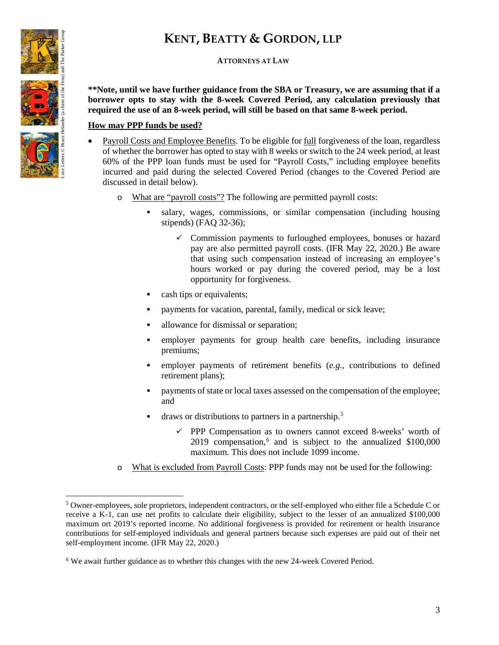

 $\overline{\phantom{a}}$ 

# **KENT, BEATTY & GORDON, LLP**

## **ATTORNEYS AT LAW**

**\*\*Note, until we have further guidance from the SBA or Treasury, we are assuming that if a borrower opts to stay with the 8-week Covered Period, any calculation previously that required the use of an 8-week period, will still be based on that same 8-week period.**

# **How may PPP funds be used?**

- Payroll Costs and Employee Benefits. To be eligible for full forgiveness of the loan, regardless of whether the borrower has opted to stay with 8 weeks or switch to the 24 week period, at least 60% of the PPP loan funds must be used for "Payroll Costs," including employee benefits incurred and paid during the selected Covered Period (changes to the Covered Period are discussed in detail below).
	- o What are "payroll costs"? The following are permitted payroll costs:
		- salary, wages, commissions, or similar compensation (including housing stipends) (FAQ 32-36);
			- $\checkmark$  Commission payments to furloughed employees, bonuses or hazard pay are also permitted payroll costs. (IFR May 22, 2020.) Be aware that using such compensation instead of increasing an employee's hours worked or pay during the covered period, may be a lost opportunity for forgiveness.
		- cash tips or equivalents;
		- payments for vacation, parental, family, medical or sick leave;
		- allowance for dismissal or separation;
		- employer payments for group health care benefits, including insurance premiums;
		- employer payments of retirement benefits (*e.g.,* contributions to defined retirement plans);
		- **Payments of state or local taxes assessed on the compensation of the employee;** and
		- draws or distributions to partners in a partnership.<sup>[5](#page-2-0)</sup>
			- $\checkmark$  PPP Compensation as to owners cannot exceed 8-weeks' worth of 2019 compensation, $6$  and is subject to the annualized \$100,000 maximum. This does not include 1099 income.
	- o What is excluded from Payroll Costs: PPP funds may not be used for the following:

<span id="page-2-0"></span><sup>5</sup> Owner-employees, sole proprietors, independent contractors, or the self-employed who either file a Schedule C or receive a K-1, can use net profits to calculate their eligibility, subject to the lesser of an annualized \$100,000 maximum ort 2019's reported income. No additional forgiveness is provided for retirement or health insurance contributions for self-employed individuals and general partners because such expenses are paid out of their net self-employment income. (IFR May 22, 2020.)

<span id="page-2-1"></span><sup>6</sup> We await further guidance as to whether this changes with the new 24-week Covered Period.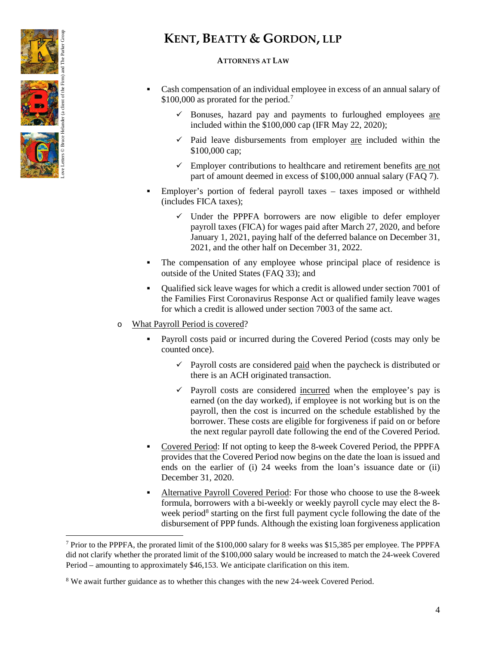

l

# **KENT, BEATTY & GORDON, LLP**

### **ATTORNEYS AT LAW**

- Cash compensation of an individual employee in excess of an annual salary of  $$100,000$  as prorated for the period.<sup>7</sup>
	- $\checkmark$  Bonuses, hazard pay and payments to furloughed employees are included within the \$100,000 cap (IFR May 22, 2020);
	- $\checkmark$  Paid leave disbursements from employer are included within the \$100,000 cap;
	- $\checkmark$  Employer contributions to healthcare and retirement benefits are not part of amount deemed in excess of \$100,000 annual salary (FAQ 7).
- Employer's portion of federal payroll taxes taxes imposed or withheld (includes FICA taxes);
	- $\checkmark$  Under the PPPFA borrowers are now eligible to defer employer payroll taxes (FICA) for wages paid after March 27, 2020, and before January 1, 2021, paying half of the deferred balance on December 31, 2021, and the other half on December 31, 2022.
- The compensation of any employee whose principal place of residence is outside of the United States (FAQ 33); and
- Qualified sick leave wages for which a credit is allowed under section 7001 of the Families First Coronavirus Response Act or qualified family leave wages for which a credit is allowed under section 7003 of the same act.
- o What Payroll Period is covered?
	- Payroll costs paid or incurred during the Covered Period (costs may only be counted once).
		- $\checkmark$  Payroll costs are considered paid when the paycheck is distributed or there is an ACH originated transaction.
		- $\checkmark$  Payroll costs are considered incurred when the employee's pay is earned (on the day worked), if employee is not working but is on the payroll, then the cost is incurred on the schedule established by the borrower. These costs are eligible for forgiveness if paid on or before the next regular payroll date following the end of the Covered Period.
	- Covered Period: If not opting to keep the 8-week Covered Period, the PPPFA provides that the Covered Period now begins on the date the loan is issued and ends on the earlier of (i) 24 weeks from the loan's issuance date or (ii) December 31, 2020.
	- Alternative Payroll Covered Period: For those who choose to use the 8-week formula, borrowers with a bi-weekly or weekly payroll cycle may elect the 8- week period<sup>[8](#page-3-1)</sup> starting on the first full payment cycle following the date of the disbursement of PPP funds. Although the existing loan forgiveness application

<span id="page-3-0"></span><sup>7</sup> Prior to the PPPFA, the prorated limit of the \$100,000 salary for 8 weeks was \$15,385 per employee. The PPPFA did not clarify whether the prorated limit of the \$100,000 salary would be increased to match the 24-week Covered Period – amounting to approximately \$46,153. We anticipate clarification on this item.

<span id="page-3-1"></span><sup>8</sup> We await further guidance as to whether this changes with the new 24-week Covered Period.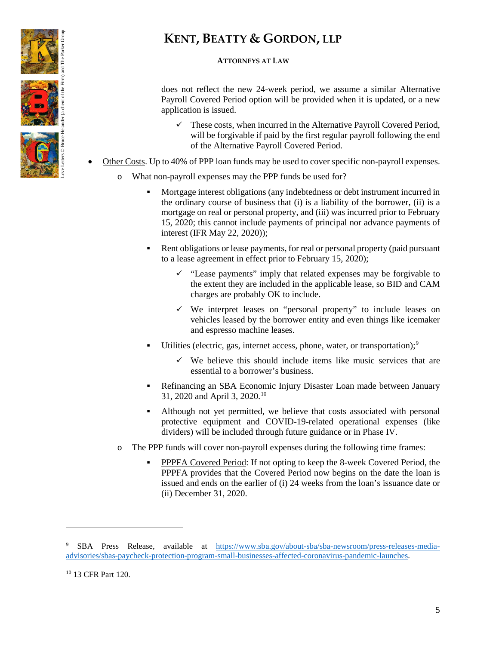

# **ATTORNEYS AT LAW**

does not reflect the new 24-week period, we assume a similar Alternative Payroll Covered Period option will be provided when it is updated, or a new application is issued.

- These costs, when incurred in the Alternative Payroll Covered Period, will be forgivable if paid by the first regular payroll following the end of the Alternative Payroll Covered Period.
- Other Costs. Up to 40% of PPP loan funds may be used to cover specific non-payroll expenses.
	- o What non-payroll expenses may the PPP funds be used for?
		- Mortgage interest obligations (any indebtedness or debt instrument incurred in the ordinary course of business that (i) is a liability of the borrower, (ii) is a mortgage on real or personal property, and (iii) was incurred prior to February 15, 2020; this cannot include payments of principal nor advance payments of interest (IFR May 22, 2020));
		- Rent obligations or lease payments, for real or personal property (paid pursuant to a lease agreement in effect prior to February 15, 2020);
			- $\checkmark$  "Lease payments" imply that related expenses may be forgivable to the extent they are included in the applicable lease, so BID and CAM charges are probably OK to include.
			- We interpret leases on "personal property" to include leases on vehicles leased by the borrower entity and even things like icemaker and espresso machine leases.
		- Utilities (electric, gas, internet access, phone, water, or transportation);<sup>[9](#page-4-0)</sup>
			- $\checkmark$  We believe this should include items like music services that are essential to a borrower's business.
		- Refinancing an SBA Economic Injury Disaster Loan made between January 31, 2020 and April 3, 2020.[10](#page-4-1)
		- Although not yet permitted, we believe that costs associated with personal protective equipment and COVID-19-related operational expenses (like dividers) will be included through future guidance or in Phase IV.
	- o The PPP funds will cover non-payroll expenses during the following time frames:
		- PPPFA Covered Period: If not opting to keep the 8-week Covered Period, the PPPFA provides that the Covered Period now begins on the date the loan is issued and ends on the earlier of (i) 24 weeks from the loan's issuance date or (ii) December 31, 2020.

 $\overline{\phantom{a}}$ 

<span id="page-4-0"></span><sup>9</sup> SBA Press Release, available at [https://www.sba.gov/about-sba/sba-newsroom/press-releases-media](https://www.sba.gov/about-sba/sba-newsroom/press-releases-media-advisories/sbas-paycheck-protection-program-small-businesses-affected-coronavirus-pandemic-launches)[advisories/sbas-paycheck-protection-program-small-businesses-affected-coronavirus-pandemic-launches.](https://www.sba.gov/about-sba/sba-newsroom/press-releases-media-advisories/sbas-paycheck-protection-program-small-businesses-affected-coronavirus-pandemic-launches)

<span id="page-4-1"></span><sup>&</sup>lt;sup>10</sup> 13 CFR Part 120.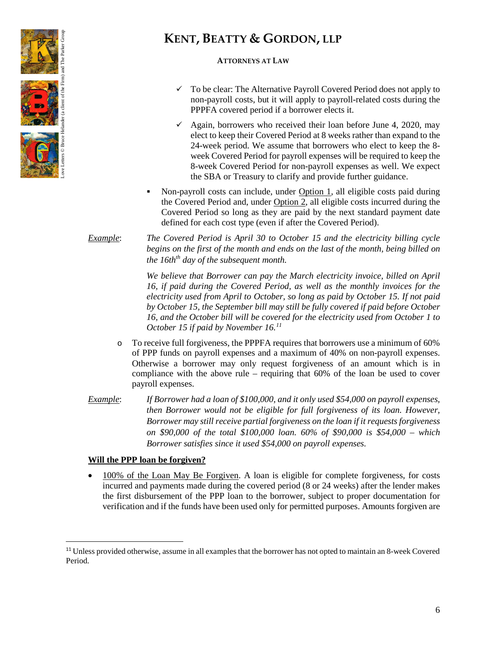

# **ATTORNEYS AT LAW**

- To be clear: The Alternative Payroll Covered Period does not apply to non-payroll costs, but it will apply to payroll-related costs during the PPPFA covered period if a borrower elects it.
- $\checkmark$  Again, borrowers who received their loan before June 4, 2020, may elect to keep their Covered Period at 8 weeks rather than expand to the 24-week period. We assume that borrowers who elect to keep the 8 week Covered Period for payroll expenses will be required to keep the 8-week Covered Period for non-payroll expenses as well. We expect the SBA or Treasury to clarify and provide further guidance.
- Non-payroll costs can include, under Option 1, all eligible costs paid during the Covered Period and, under Option 2, all eligible costs incurred during the Covered Period so long as they are paid by the next standard payment date defined for each cost type (even if after the Covered Period).
- *Example*: *The Covered Period is April 30 to October 15 and the electricity billing cycle begins on the first of the month and ends on the last of the month, being billed on the 16th<sup>th</sup> day of the subsequent month.*

*We believe that Borrower can pay the March electricity invoice, billed on April 16, if paid during the Covered Period, as well as the monthly invoices for the electricity used from April to October, so long as paid by October 15. If not paid by October 15, the September bill may still be fully covered if paid before October 16, and the October bill will be covered for the electricity used from October 1 to October 15 if paid by November 16.[11](#page-5-0)*

- o To receive full forgiveness, the PPPFA requires that borrowers use a minimum of 60% of PPP funds on payroll expenses and a maximum of 40% on non-payroll expenses. Otherwise a borrower may only request forgiveness of an amount which is in compliance with the above rule – requiring that 60% of the loan be used to cover payroll expenses.
- *Example*: *If Borrower had a loan of \$100,000, and it only used \$54,000 on payroll expenses, then Borrower would not be eligible for full forgiveness of its loan. However, Borrower may still receive partial forgiveness on the loan if it requests forgiveness on \$90,000 of the total \$100,000 loan. 60% of \$90,000 is \$54,000 – which Borrower satisfies since it used \$54,000 on payroll expenses.*

# **Will the PPP loan be forgiven?**

• 100% of the Loan May Be Forgiven. A loan is eligible for complete forgiveness, for costs incurred and payments made during the covered period (8 or 24 weeks) after the lender makes the first disbursement of the PPP loan to the borrower, subject to proper documentation for verification and if the funds have been used only for permitted purposes. Amounts forgiven are

<span id="page-5-0"></span><sup>&</sup>lt;sup>11</sup> Unless provided otherwise, assume in all examples that the borrower has not opted to maintain an 8-week Covered Period.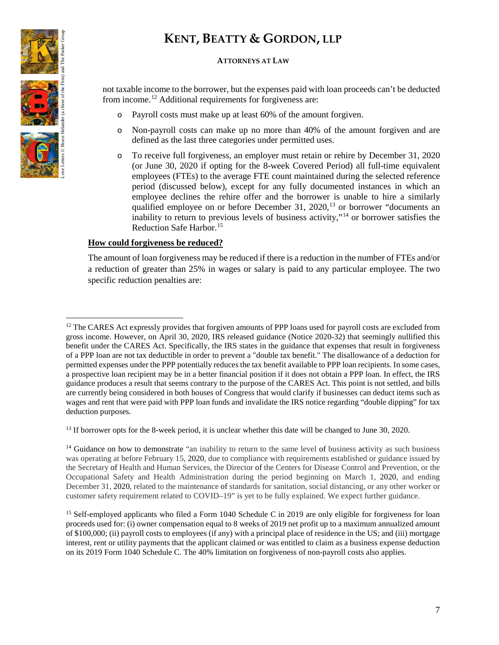

### **ATTORNEYS AT LAW**

not taxable income to the borrower, but the expenses paid with loan proceeds can't be deducted from income.[12](#page-6-0) Additional requirements for forgiveness are:

- Payroll costs must make up at least 60% of the amount forgiven.
- o Non-payroll costs can make up no more than 40% of the amount forgiven and are defined as the last three categories under permitted uses.
- o To receive full forgiveness, an employer must retain or rehire by December 31, 2020 (or June 30, 2020 if opting for the 8-week Covered Period) all full-time equivalent employees (FTEs) to the average FTE count maintained during the selected reference period (discussed below), except for any fully documented instances in which an employee declines the rehire offer and the borrower is unable to hire a similarly qualified employee on or before December 31, 2020,<sup>[13](#page-6-1)</sup> or borrower "documents an inability to return to previous levels of business activity,"[14](#page-6-2) or borrower satisfies the Reduction Safe Harbor.[15](#page-6-3)

### **How could forgiveness be reduced?**

The amount of loan forgiveness may be reduced if there is a reduction in the number of FTEs and/or a reduction of greater than 25% in wages or salary is paid to any particular employee. The two specific reduction penalties are:

<span id="page-6-1"></span><sup>13</sup> If borrower opts for the 8-week period, it is unclear whether this date will be changed to June 30, 2020.

<span id="page-6-2"></span><sup>14</sup> Guidance on how to demonstrate "an inability to return to the same level of business activity as such business was operating at before February 15, 2020, due to compliance with requirements established or guidance issued by the Secretary of Health and Human Services, the Director of the Centers for Disease Control and Prevention, or the Occupational Safety and Health Administration during the period beginning on March 1, 2020, and ending December 31, 2020, related to the maintenance of standards for sanitation, social distancing, or any other worker or customer safety requirement related to COVID–19" is yet to be fully explained. We expect further guidance.

<span id="page-6-3"></span><sup>15</sup> Self-employed applicants who filed a Form 1040 Schedule C in 2019 are only eligible for forgiveness for loan proceeds used for: (i) owner compensation equal to 8 weeks of 2019 net profit up to a maximum annualized amount of \$100,000; (ii) payroll costs to employees (if any) with a principal place of residence in the US; and (iii) mortgage interest, rent or utility payments that the applicant claimed or was entitled to claim as a business expense deduction on its 2019 Form 1040 Schedule C. The 40% limitation on forgiveness of non-payroll costs also applies.

<span id="page-6-0"></span> $\overline{a}$ <sup>12</sup> The CARES Act expressly provides that forgiven amounts of PPP loans used for payroll costs are excluded from gross income. However, on April 30, 2020, IRS released guidance (Notice 2020-32) that seemingly nullified this benefit under the CARES Act. Specifically, the IRS states in the guidance that expenses that result in forgiveness of a PPP loan are not tax deductible in order to prevent a "double tax benefit." The disallowance of a deduction for permitted expenses under the PPP potentially reduces the tax benefit available to PPP loan recipients. In some cases, a prospective loan recipient may be in a better financial position if it does not obtain a PPP loan. In effect, the IRS guidance produces a result that seems contrary to the purpose of the CARES Act. This point is not settled, and bills are currently being considered in both houses of Congress that would clarify if businesses can deduct items such as wages and rent that were paid with PPP loan funds and invalidate the IRS notice regarding "double dipping" for tax deduction purposes.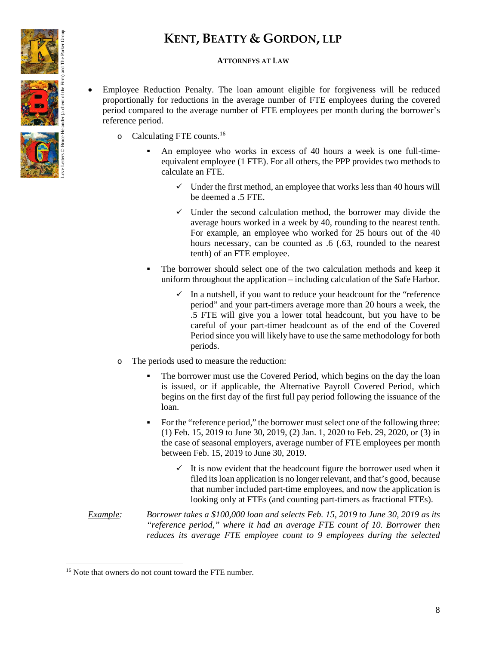

## **ATTORNEYS AT LAW**

- Employee Reduction Penalty. The loan amount eligible for forgiveness will be reduced proportionally for reductions in the average number of FTE employees during the covered period compared to the average number of FTE employees per month during the borrower's reference period.
	- o Calculating FTE counts.[16](#page-7-0)
		- An employee who works in excess of 40 hours a week is one full-timeequivalent employee (1 FTE). For all others, the PPP provides two methods to calculate an FTE.
			- $\checkmark$  Under the first method, an employee that works less than 40 hours will be deemed a .5 FTE.
			- $\checkmark$  Under the second calculation method, the borrower may divide the average hours worked in a week by 40, rounding to the nearest tenth. For example, an employee who worked for 25 hours out of the 40 hours necessary, can be counted as .6 (.63, rounded to the nearest tenth) of an FTE employee.
		- The borrower should select one of the two calculation methods and keep it uniform throughout the application – including calculation of the Safe Harbor.
			- In a nutshell, if you want to reduce your headcount for the "reference period" and your part-timers average more than 20 hours a week, the .5 FTE will give you a lower total headcount, but you have to be careful of your part-timer headcount as of the end of the Covered Period since you will likely have to use the same methodology for both periods.
	- o The periods used to measure the reduction:
		- The borrower must use the Covered Period, which begins on the day the loan is issued, or if applicable, the Alternative Payroll Covered Period, which begins on the first day of the first full pay period following the issuance of the loan.
		- For the "reference period," the borrower must select one of the following three: (1) Feb. 15, 2019 to June 30, 2019, (2) Jan. 1, 2020 to Feb. 29, 2020, or (3) in the case of seasonal employers, average number of FTE employees per month between Feb. 15, 2019 to June 30, 2019.
			- $\checkmark$  It is now evident that the headcount figure the borrower used when it filed its loan application is no longer relevant, and that's good, because that number included part-time employees, and now the application is looking only at FTEs (and counting part-timers as fractional FTEs).
- *Example: Borrower takes a \$100,000 loan and selects Feb. 15, 2019 to June 30, 2019 as its "reference period," where it had an average FTE count of 10. Borrower then reduces its average FTE employee count to 9 employees during the selected*

l

<span id="page-7-0"></span><sup>&</sup>lt;sup>16</sup> Note that owners do not count toward the FTE number.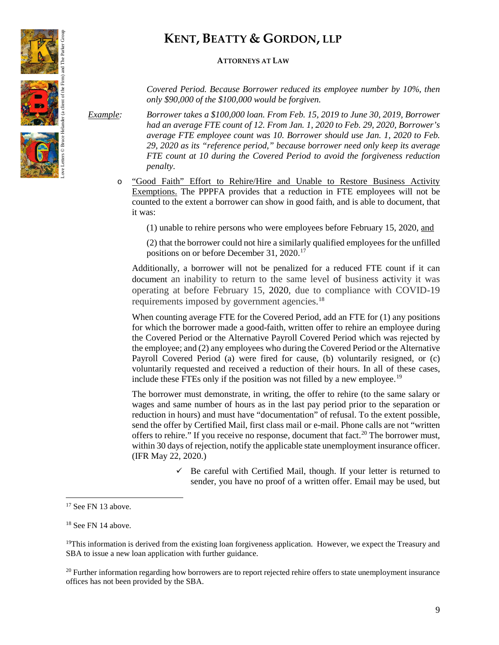

#### **ATTORNEYS AT LAW**

*Covered Period. Because Borrower reduced its employee number by 10%, then only \$90,000 of the \$100,000 would be forgiven.*

*Example: Borrower takes a \$100,000 loan. From Feb. 15, 2019 to June 30, 2019, Borrower had an average FTE count of 12. From Jan. 1, 2020 to Feb. 29, 2020, Borrower's average FTE employee count was 10. Borrower should use Jan. 1, 2020 to Feb. 29, 2020 as its "reference period," because borrower need only keep its average FTE count at 10 during the Covered Period to avoid the forgiveness reduction penalty.*

o "Good Faith" Effort to Rehire/Hire and Unable to Restore Business Activity Exemptions. The PPPFA provides that a reduction in FTE employees will not be counted to the extent a borrower can show in good faith, and is able to document, that it was:

(1) unable to rehire persons who were employees before February 15, 2020, and

(2) that the borrower could not hire a similarly qualified employees for the unfilled positions on or before December 31, 2020.[17](#page-8-0)

Additionally, a borrower will not be penalized for a reduced FTE count if it can document an inability to return to the same level of business activity it was operating at before February 15, 2020, due to compliance with COVID-19 requirements imposed by government agencies. [18](#page-8-1)

When counting average FTE for the Covered Period, add an FTE for (1) any positions for which the borrower made a good-faith, written offer to rehire an employee during the Covered Period or the Alternative Payroll Covered Period which was rejected by the employee; and (2) any employees who during the Covered Period or the Alternative Payroll Covered Period (a) were fired for cause, (b) voluntarily resigned, or (c) voluntarily requested and received a reduction of their hours. In all of these cases, include these FTEs only if the position was not filled by a new employee.<sup>[19](#page-8-2)</sup>

The borrower must demonstrate, in writing, the offer to rehire (to the same salary or wages and same number of hours as in the last pay period prior to the separation or reduction in hours) and must have "documentation" of refusal. To the extent possible, send the offer by Certified Mail, first class mail or e-mail. Phone calls are not "written offers to rehire." If you receive no response, document that fact.<sup>[20](#page-8-3)</sup> The borrower must, within 30 days of rejection, notify the applicable state unemployment insurance officer. (IFR May 22, 2020.)

> Be careful with Certified Mail, though. If your letter is returned to sender, you have no proof of a written offer. Email may be used, but

 $\overline{\phantom{a}}$ 

<span id="page-8-3"></span> $20$  Further information regarding how borrowers are to report rejected rehire offers to state unemployment insurance offices has not been provided by the SBA.



<span id="page-8-0"></span><sup>&</sup>lt;sup>17</sup> See FN 13 above.

<span id="page-8-1"></span><sup>&</sup>lt;sup>18</sup> See FN 14 above.

<span id="page-8-2"></span><sup>&</sup>lt;sup>19</sup>This information is derived from the existing loan forgiveness application. However, we expect the Treasury and SBA to issue a new loan application with further guidance.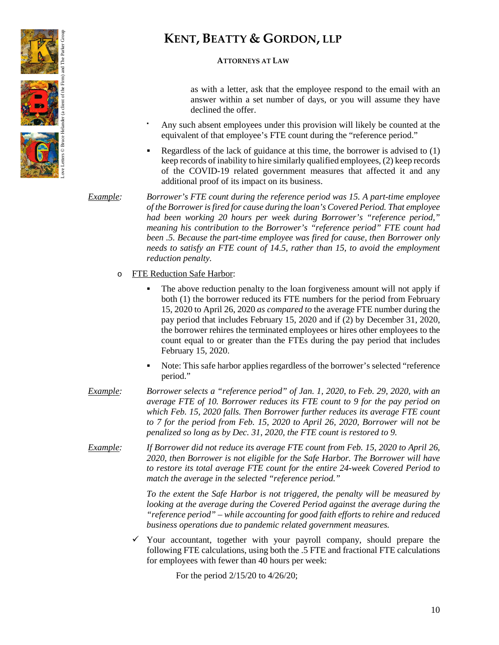

# **ATTORNEYS AT LAW**

as with a letter, ask that the employee respond to the email with an answer within a set number of days, or you will assume they have declined the offer.

- Any such absent employees under this provision will likely be counted at the equivalent of that employee's FTE count during the "reference period."
- Regardless of the lack of guidance at this time, the borrower is advised to (1) keep records of inability to hire similarly qualified employees, (2) keep records of the COVID-19 related government measures that affected it and any additional proof of its impact on its business.

*Example: Borrower's FTE count during the reference period was 15. A part-time employee of the Borrower is fired for cause during the loan's Covered Period. That employee had been working 20 hours per week during Borrower's "reference period," meaning his contribution to the Borrower's "reference period" FTE count had been .5. Because the part-time employee was fired for cause, then Borrower only needs to satisfy an FTE count of 14.5, rather than 15, to avoid the employment reduction penalty.*

### o FTE Reduction Safe Harbor:

- The above reduction penalty to the loan forgiveness amount will not apply if both (1) the borrower reduced its FTE numbers for the period from February 15, 2020 to April 26, 2020 *as compared to* the average FTE number during the pay period that includes February 15, 2020 and if (2) by December 31, 2020, the borrower rehires the terminated employees or hires other employees to the count equal to or greater than the FTEs during the pay period that includes February 15, 2020.
- Note: This safe harbor applies regardless of the borrower's selected "reference period."
- *Example: Borrower selects a "reference period" of Jan. 1, 2020, to Feb. 29, 2020, with an average FTE of 10. Borrower reduces its FTE count to 9 for the pay period on which Feb. 15, 2020 falls. Then Borrower further reduces its average FTE count to 7 for the period from Feb. 15, 2020 to April 26, 2020, Borrower will not be penalized so long as by Dec. 31, 2020, the FTE count is restored to 9.*
- *Example: If Borrower did not reduce its average FTE count from Feb. 15, 2020 to April 26, 2020, then Borrower is not eligible for the Safe Harbor. The Borrower will have to restore its total average FTE count for the entire 24-week Covered Period to match the average in the selected "reference period."*

*To the extent the Safe Harbor is not triggered, the penalty will be measured by looking at the average during the Covered Period against the average during the "reference period" – while accounting for good faith efforts to rehire and reduced business operations due to pandemic related government measures.*

 Your accountant, together with your payroll company, should prepare the following FTE calculations, using both the .5 FTE and fractional FTE calculations for employees with fewer than 40 hours per week:

For the period 2/15/20 to 4/26/20;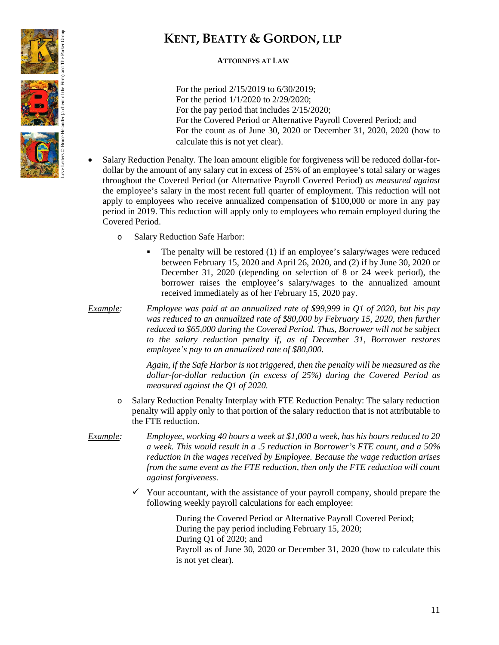

# **ATTORNEYS AT LAW**

For the period 2/15/2019 to 6/30/2019; For the period 1/1/2020 to 2/29/2020; For the pay period that includes 2/15/2020; For the Covered Period or Alternative Payroll Covered Period; and For the count as of June 30, 2020 or December 31, 2020, 2020 (how to calculate this is not yet clear).

- Salary Reduction Penalty. The loan amount eligible for forgiveness will be reduced dollar-fordollar by the amount of any salary cut in excess of 25% of an employee's total salary or wages throughout the Covered Period (or Alternative Payroll Covered Period) *as measured against* the employee's salary in the most recent full quarter of employment. This reduction will not apply to employees who receive annualized compensation of \$100,000 or more in any pay period in 2019. This reduction will apply only to employees who remain employed during the Covered Period.
	- o Salary Reduction Safe Harbor:
		- The penalty will be restored (1) if an employee's salary/wages were reduced between February 15, 2020 and April 26, 2020, and (2) if by June 30, 2020 or December 31, 2020 (depending on selection of 8 or 24 week period), the borrower raises the employee's salary/wages to the annualized amount received immediately as of her February 15, 2020 pay.
- *Example: Employee was paid at an annualized rate of \$99,999 in Q1 of 2020, but his pay was reduced to an annualized rate of \$80,000 by February 15, 2020, then further reduced to \$65,000 during the Covered Period. Thus, Borrower will not be subject to the salary reduction penalty if, as of December 31, Borrower restores employee's pay to an annualized rate of \$80,000.*

*Again, if the Safe Harbor is not triggered, then the penalty will be measured as the dollar-for-dollar reduction (in excess of 25%) during the Covered Period as measured against the Q1 of 2020.*

- o Salary Reduction Penalty Interplay with FTE Reduction Penalty: The salary reduction penalty will apply only to that portion of the salary reduction that is not attributable to the FTE reduction.
- *Example: Employee, working 40 hours a week at \$1,000 a week, has his hours reduced to 20 a week. This would result in a .5 reduction in Borrower's FTE count, and a 50% reduction in the wages received by Employee. Because the wage reduction arises from the same event as the FTE reduction, then only the FTE reduction will count against forgiveness*.
	- $\checkmark$  Your accountant, with the assistance of your payroll company, should prepare the following weekly payroll calculations for each employee:

During the Covered Period or Alternative Payroll Covered Period; During the pay period including February 15, 2020; During Q1 of 2020; and Payroll as of June 30, 2020 or December 31, 2020 (how to calculate this is not yet clear).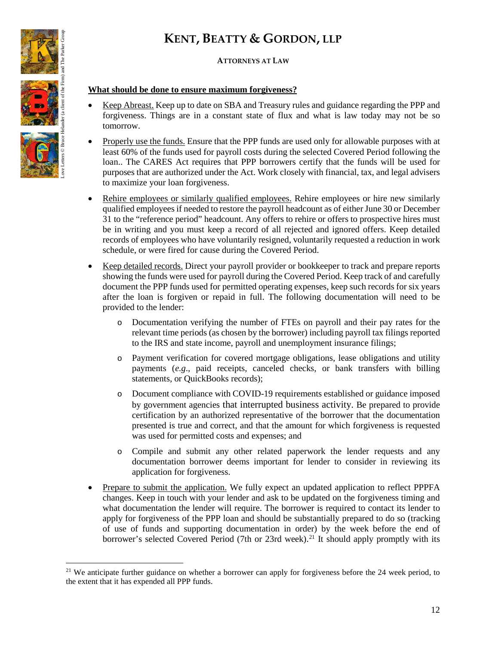# **ATTORNEYS AT LAW**

# **What should be done to ensure maximum forgiveness?**

- Keep Abreast. Keep up to date on SBA and Treasury rules and guidance regarding the PPP and forgiveness. Things are in a constant state of flux and what is law today may not be so tomorrow.
- Properly use the funds. Ensure that the PPP funds are used only for allowable purposes with at least 60% of the funds used for payroll costs during the selected Covered Period following the loan.. The CARES Act requires that PPP borrowers certify that the funds will be used for purposes that are authorized under the Act. Work closely with financial, tax, and legal advisers to maximize your loan forgiveness.
- Rehire employees or similarly qualified employees. Rehire employees or hire new similarly qualified employees if needed to restore the payroll headcount as of either June 30 or December 31 to the "reference period" headcount. Any offers to rehire or offers to prospective hires must be in writing and you must keep a record of all rejected and ignored offers. Keep detailed records of employees who have voluntarily resigned, voluntarily requested a reduction in work schedule, or were fired for cause during the Covered Period.
- Keep detailed records. Direct your payroll provider or bookkeeper to track and prepare reports showing the funds were used for payroll during the Covered Period. Keep track of and carefully document the PPP funds used for permitted operating expenses, keep such records for six years after the loan is forgiven or repaid in full. The following documentation will need to be provided to the lender:
	- o Documentation verifying the number of FTEs on payroll and their pay rates for the relevant time periods (as chosen by the borrower) including payroll tax filings reported to the IRS and state income, payroll and unemployment insurance filings;
	- o Payment verification for covered mortgage obligations, lease obligations and utility payments (*e.g*., paid receipts, canceled checks, or bank transfers with billing statements, or QuickBooks records);
	- o Document compliance with COVID-19 requirements established or guidance imposed by government agencies that interrupted business activity. Be prepared to provide certification by an authorized representative of the borrower that the documentation presented is true and correct, and that the amount for which forgiveness is requested was used for permitted costs and expenses; and
	- o Compile and submit any other related paperwork the lender requests and any documentation borrower deems important for lender to consider in reviewing its application for forgiveness.
- Prepare to submit the application. We fully expect an updated application to reflect PPPFA changes. Keep in touch with your lender and ask to be updated on the forgiveness timing and what documentation the lender will require. The borrower is required to contact its lender to apply for forgiveness of the PPP loan and should be substantially prepared to do so (tracking of use of funds and supporting documentation in order) by the week before the end of borrower's selected Covered Period (7th or 23rd week).<sup>[21](#page-11-0)</sup> It should apply promptly with its



l

<span id="page-11-0"></span><sup>&</sup>lt;sup>21</sup> We anticipate further guidance on whether a borrower can apply for forgiveness before the  $24$  week period, to the extent that it has expended all PPP funds.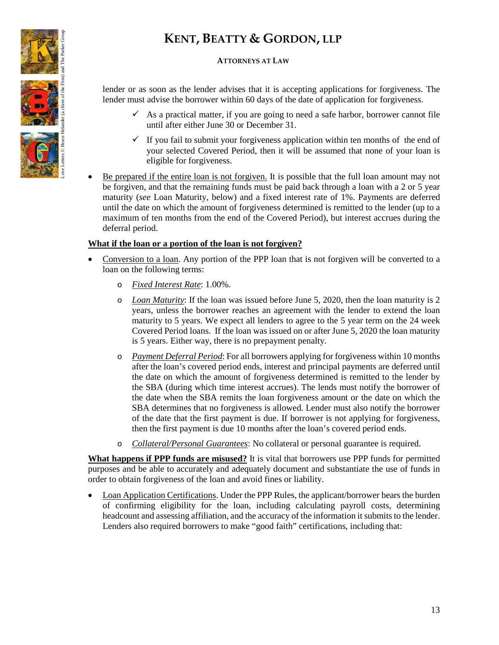

## **ATTORNEYS AT LAW**

lender or as soon as the lender advises that it is accepting applications for forgiveness. The lender must advise the borrower within 60 days of the date of application for forgiveness.

- $\checkmark$  As a practical matter, if you are going to need a safe harbor, borrower cannot file until after either June 30 or December 31.
- $\checkmark$  If you fail to submit your forgiveness application within ten months of the end of your selected Covered Period, then it will be assumed that none of your loan is eligible for forgiveness.
- Be prepared if the entire loan is not forgiven. It is possible that the full loan amount may not be forgiven, and that the remaining funds must be paid back through a loan with a 2 or 5 year maturity (*see* Loan Maturity, below) and a fixed interest rate of 1%. Payments are deferred until the date on which the amount of forgiveness determined is remitted to the lender (up to a maximum of ten months from the end of the Covered Period), but interest accrues during the deferral period.

### **What if the loan or a portion of the loan is not forgiven?**

- Conversion to a loan. Any portion of the PPP loan that is not forgiven will be converted to a loan on the following terms:
	- o *Fixed Interest Rate*: 1.00%.
	- o *Loan Maturity*: If the loan was issued before June 5, 2020, then the loan maturity is 2 years, unless the borrower reaches an agreement with the lender to extend the loan maturity to 5 years. We expect all lenders to agree to the 5 year term on the 24 week Covered Period loans. If the loan was issued on or after June 5, 2020 the loan maturity is 5 years. Either way, there is no prepayment penalty.
	- o *Payment Deferral Period*: For all borrowers applying for forgiveness within 10 months after the loan's covered period ends, interest and principal payments are deferred until the date on which the amount of forgiveness determined is remitted to the lender by the SBA (during which time interest accrues). The lends must notify the borrower of the date when the SBA remits the loan forgiveness amount or the date on which the SBA determines that no forgiveness is allowed. Lender must also notify the borrower of the date that the first payment is due. If borrower is not applying for forgiveness, then the first payment is due 10 months after the loan's covered period ends.
	- o *Collateral/Personal Guarantees*: No collateral or personal guarantee is required.

**What happens if PPP funds are misused?** It is vital that borrowers use PPP funds for permitted purposes and be able to accurately and adequately document and substantiate the use of funds in order to obtain forgiveness of the loan and avoid fines or liability.

• Loan Application Certifications. Under the PPP Rules, the applicant/borrower bears the burden of confirming eligibility for the loan, including calculating payroll costs, determining headcount and assessing affiliation, and the accuracy of the information it submits to the lender. Lenders also required borrowers to make "good faith" certifications, including that: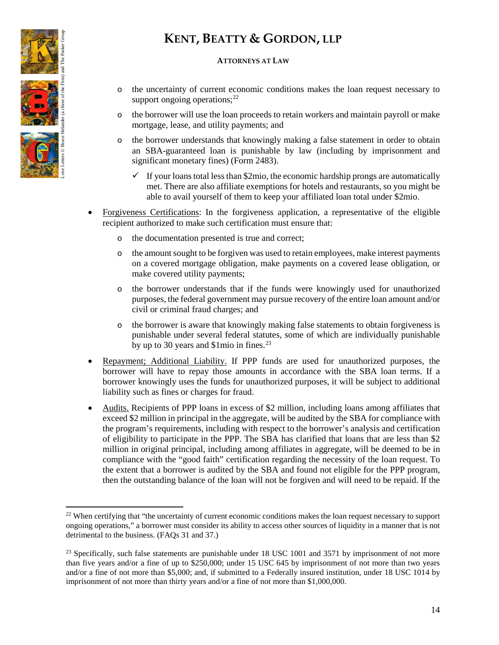

l

# **KENT, BEATTY & GORDON, LLP**

### **ATTORNEYS AT LAW**

- o the uncertainty of current economic conditions makes the loan request necessary to support ongoing operations; $^{22}$  $^{22}$  $^{22}$
- o the borrower will use the loan proceeds to retain workers and maintain payroll or make mortgage, lease, and utility payments; and
- o the borrower understands that knowingly making a false statement in order to obtain an SBA-guaranteed loan is punishable by law (including by imprisonment and significant monetary fines) (Form 2483).
	- $\checkmark$  If your loans total less than \$2mio, the economic hardship prongs are automatically met. There are also affiliate exemptions for hotels and restaurants, so you might be able to avail yourself of them to keep your affiliated loan total under \$2mio.
- Forgiveness Certifications: In the forgiveness application, a representative of the eligible recipient authorized to make such certification must ensure that:
	- o the documentation presented is true and correct;
	- o the amount sought to be forgiven was used to retain employees, make interest payments on a covered mortgage obligation, make payments on a covered lease obligation, or make covered utility payments;
	- o the borrower understands that if the funds were knowingly used for unauthorized purposes, the federal government may pursue recovery of the entire loan amount and/or civil or criminal fraud charges; and
	- o the borrower is aware that knowingly making false statements to obtain forgiveness is punishable under several federal statutes, some of which are individually punishable by up to 30 years and  $$1$ mio in fines.<sup>[23](#page-13-1)</sup>
- Repayment; Additional Liability. If PPP funds are used for unauthorized purposes, the borrower will have to repay those amounts in accordance with the SBA loan terms. If a borrower knowingly uses the funds for unauthorized purposes, it will be subject to additional liability such as fines or charges for fraud.
- Audits. Recipients of PPP loans in excess of \$2 million, including loans among affiliates that exceed \$2 million in principal in the aggregate, will be audited by the SBA for compliance with the program's requirements, including with respect to the borrower's analysis and certification of eligibility to participate in the PPP. The SBA has clarified that loans that are less than \$2 million in original principal, including among affiliates in aggregate, will be deemed to be in compliance with the "good faith" certification regarding the necessity of the loan request. To the extent that a borrower is audited by the SBA and found not eligible for the PPP program, then the outstanding balance of the loan will not be forgiven and will need to be repaid. If the

<span id="page-13-0"></span><sup>&</sup>lt;sup>22</sup> When certifying that "the uncertainty of current economic conditions makes the loan request necessary to support ongoing operations," a borrower must consider its ability to access other sources of liquidity in a manner that is not detrimental to the business. (FAQs 31 and 37.)

<span id="page-13-1"></span><sup>&</sup>lt;sup>23</sup> Specifically, such false statements are punishable under 18 USC 1001 and 3571 by imprisonment of not more than five years and/or a fine of up to \$250,000; under 15 USC 645 by imprisonment of not more than two years and/or a fine of not more than \$5,000; and, if submitted to a Federally insured institution, under 18 USC 1014 by imprisonment of not more than thirty years and/or a fine of not more than \$1,000,000.